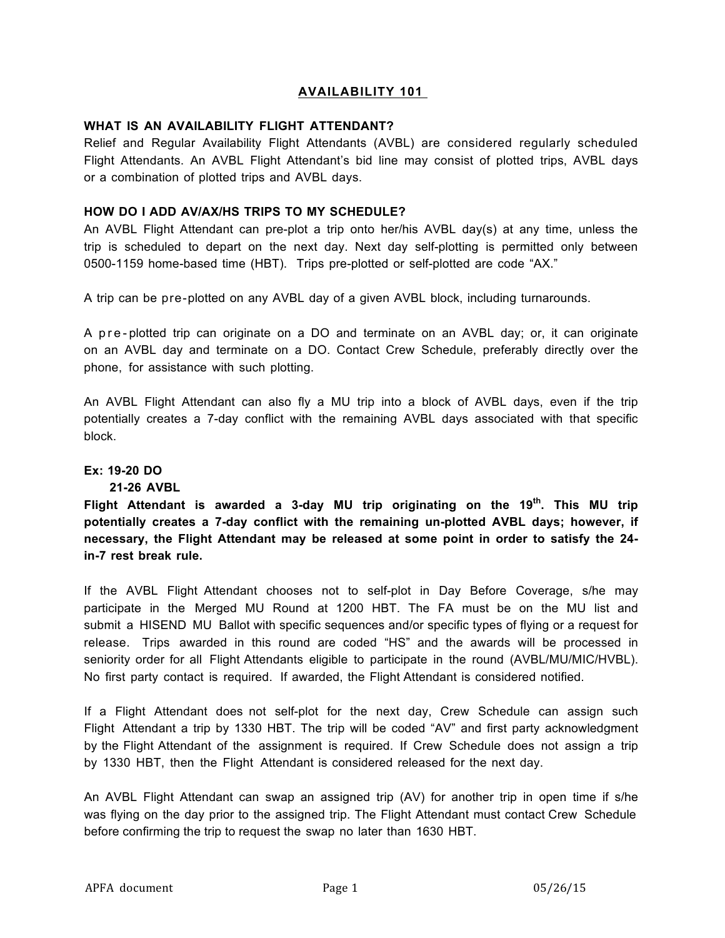## **AVAILABILITY 101**

#### **WHAT IS AN AVAILABILITY FLIGHT ATTENDANT?**

Relief and Regular Availability Flight Attendants (AVBL) are considered regularly scheduled Flight Attendants. An AVBL Flight Attendant's bid line may consist of plotted trips, AVBL days or a combination of plotted trips and AVBL days.

## **HOW DO I ADD AV/AX/HS TRIPS TO MY SCHEDULE?**

An AVBL Flight Attendant can pre-plot a trip onto her/his AVBL day(s) at any time, unless the trip is scheduled to depart on the next day. Next day self-plotting is permitted only between 0500-1159 home-based time (HBT). Trips pre-plotted or self-plotted are code "AX."

A trip can be pre-plotted on any AVBL day of a given AVBL block, including turnarounds.

A pre - plotted trip can originate on a DO and terminate on an AVBL day; or, it can originate on an AVBL day and terminate on a DO. Contact Crew Schedule, preferably directly over the phone, for assistance with such plotting.

An AVBL Flight Attendant can also fly a MU trip into a block of AVBL days, even if the trip potentially creates a 7-day conflict with the remaining AVBL days associated with that specific block.

## **Ex: 19-20 DO**

## **21-26 AVBL**

**Flight Attendant is awarded a 3-day MU trip originating on the 19th. This MU trip potentially creates a 7-day conflict with the remaining un-plotted AVBL days; however, if necessary, the Flight Attendant may be released at some point in order to satisfy the 24 in-7 rest break rule.**

If the AVBL Flight Attendant chooses not to self-plot in Day Before Coverage, s/he may participate in the Merged MU Round at 1200 HBT. The FA must be on the MU list and submit a HISEND MU Ballot with specific sequences and/or specific types of flying or a request for release. Trips awarded in this round are coded "HS" and the awards will be processed in seniority order for all Flight Attendants eligible to participate in the round (AVBL/MU/MIC/HVBL). No first party contact is required. If awarded, the Flight Attendant is considered notified.

If a Flight Attendant does not self-plot for the next day, Crew Schedule can assign such Flight Attendant a trip by 1330 HBT. The trip will be coded "AV" and first party acknowledgment by the Flight Attendant of the assignment is required. If Crew Schedule does not assign a trip by 1330 HBT, then the Flight Attendant is considered released for the next day.

An AVBL Flight Attendant can swap an assigned trip (AV) for another trip in open time if s/he was flying on the day prior to the assigned trip. The Flight Attendant must contact Crew Schedule before confirming the trip to request the swap no later than 1630 HBT.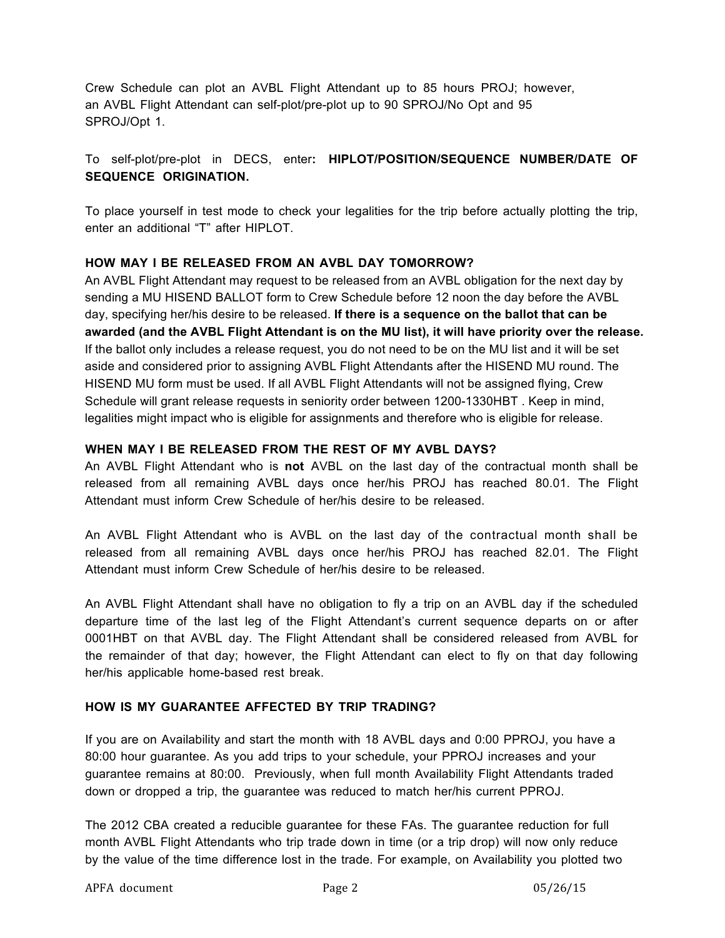Crew Schedule can plot an AVBL Flight Attendant up to 85 hours PROJ; however, an AVBL Flight Attendant can self-plot/pre-plot up to 90 SPROJ/No Opt and 95 SPROJ/Opt 1.

## To self-plot/pre-plot in DECS, enter**: HIPLOT/POSITION/SEQUENCE NUMBER/DATE OF SEQUENCE ORIGINATION.**

To place yourself in test mode to check your legalities for the trip before actually plotting the trip, enter an additional "T" after HIPLOT.

## **HOW MAY I BE RELEASED FROM AN AVBL DAY TOMORROW?**

An AVBL Flight Attendant may request to be released from an AVBL obligation for the next day by sending a MU HISEND BALLOT form to Crew Schedule before 12 noon the day before the AVBL day, specifying her/his desire to be released. **If there is a sequence on the ballot that can be awarded (and the AVBL Flight Attendant is on the MU list), it will have priority over the release.** If the ballot only includes a release request, you do not need to be on the MU list and it will be set aside and considered prior to assigning AVBL Flight Attendants after the HISEND MU round. The HISEND MU form must be used. If all AVBL Flight Attendants will not be assigned flying, Crew Schedule will grant release requests in seniority order between 1200-1330HBT . Keep in mind, legalities might impact who is eligible for assignments and therefore who is eligible for release.

## **WHEN MAY I BE RELEASED FROM THE REST OF MY AVBL DAYS?**

An AVBL Flight Attendant who is **not** AVBL on the last day of the contractual month shall be released from all remaining AVBL days once her/his PROJ has reached 80.01. The Flight Attendant must inform Crew Schedule of her/his desire to be released.

An AVBL Flight Attendant who is AVBL on the last day of the contractual month shall be released from all remaining AVBL days once her/his PROJ has reached 82.01. The Flight Attendant must inform Crew Schedule of her/his desire to be released.

An AVBL Flight Attendant shall have no obligation to fly a trip on an AVBL day if the scheduled departure time of the last leg of the Flight Attendant's current sequence departs on or after 0001HBT on that AVBL day. The Flight Attendant shall be considered released from AVBL for the remainder of that day; however, the Flight Attendant can elect to fly on that day following her/his applicable home-based rest break.

## **HOW IS MY GUARANTEE AFFECTED BY TRIP TRADING?**

If you are on Availability and start the month with 18 AVBL days and 0:00 PPROJ, you have a 80:00 hour guarantee. As you add trips to your schedule, your PPROJ increases and your guarantee remains at 80:00. Previously, when full month Availability Flight Attendants traded down or dropped a trip, the guarantee was reduced to match her/his current PPROJ.

The 2012 CBA created a reducible guarantee for these FAs. The guarantee reduction for full month AVBL Flight Attendants who trip trade down in time (or a trip drop) will now only reduce by the value of the time difference lost in the trade. For example, on Availability you plotted two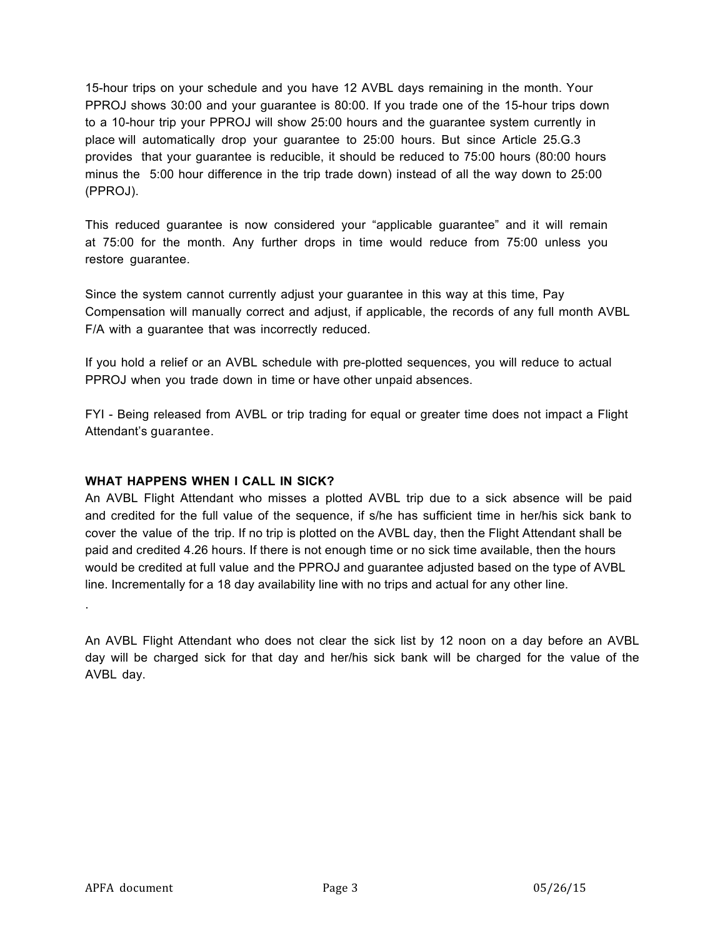15-hour trips on your schedule and you have 12 AVBL days remaining in the month. Your PPROJ shows 30:00 and your guarantee is 80:00. If you trade one of the 15-hour trips down to a 10-hour trip your PPROJ will show 25:00 hours and the guarantee system currently in place will automatically drop your guarantee to 25:00 hours. But since Article 25.G.3 provides that your guarantee is reducible, it should be reduced to 75:00 hours (80:00 hours minus the 5:00 hour difference in the trip trade down) instead of all the way down to 25:00 (PPROJ).

This reduced guarantee is now considered your "applicable guarantee" and it will remain at 75:00 for the month. Any further drops in time would reduce from 75:00 unless you restore guarantee.

Since the system cannot currently adjust your guarantee in this way at this time, Pay Compensation will manually correct and adjust, if applicable, the records of any full month AVBL F/A with a guarantee that was incorrectly reduced.

If you hold a relief or an AVBL schedule with pre-plotted sequences, you will reduce to actual PPROJ when you trade down in time or have other unpaid absences.

FYI - Being released from AVBL or trip trading for equal or greater time does not impact a Flight Attendant's guarantee.

## **WHAT HAPPENS WHEN I CALL IN SICK?**

An AVBL Flight Attendant who misses a plotted AVBL trip due to a sick absence will be paid and credited for the full value of the sequence, if s/he has sufficient time in her/his sick bank to cover the value of the trip. If no trip is plotted on the AVBL day, then the Flight Attendant shall be paid and credited 4.26 hours. If there is not enough time or no sick time available, then the hours would be credited at full value and the PPROJ and guarantee adjusted based on the type of AVBL line. Incrementally for a 18 day availability line with no trips and actual for any other line.

An AVBL Flight Attendant who does not clear the sick list by 12 noon on a day before an AVBL day will be charged sick for that day and her/his sick bank will be charged for the value of the AVBL day.

.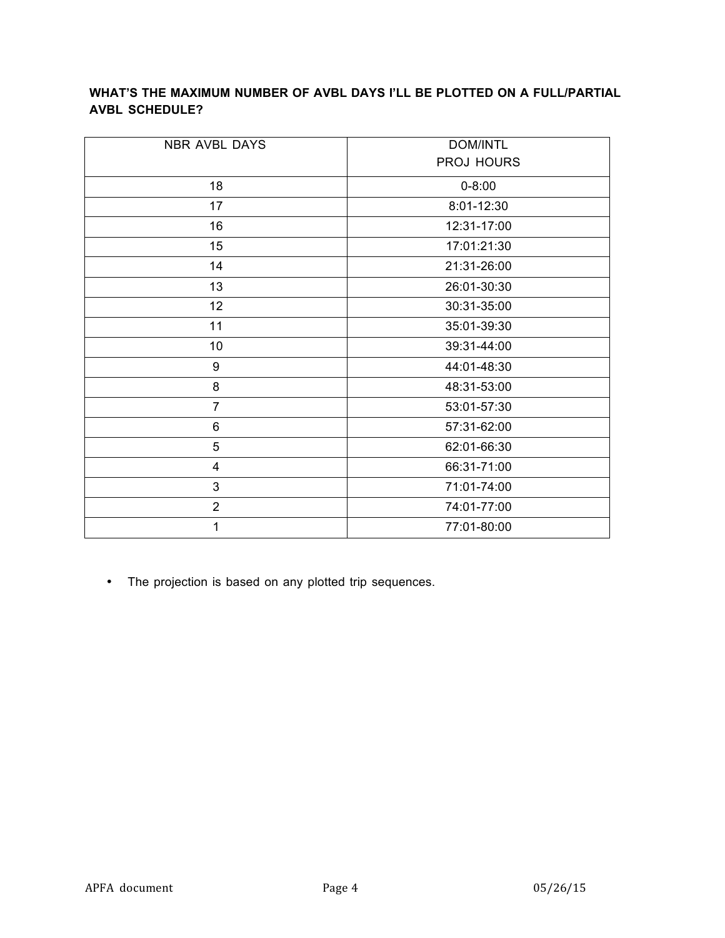# **WHAT'S THE MAXIMUM NUMBER OF AVBL DAYS I'LL BE PLOTTED ON A FULL/PARTIAL AVBL SCHEDULE?**

| NBR AVBL DAYS    | <b>DOM/INTL</b> |
|------------------|-----------------|
|                  | PROJ HOURS      |
| 18               | $0 - 8:00$      |
| 17               | 8:01-12:30      |
| 16               | 12:31-17:00     |
| 15               | 17:01:21:30     |
| 14               | 21:31-26:00     |
| 13               | 26:01-30:30     |
| 12               | 30:31-35:00     |
| 11               | 35:01-39:30     |
| 10               | 39:31-44:00     |
| $\boldsymbol{9}$ | 44:01-48:30     |
| 8                | 48:31-53:00     |
| $\overline{7}$   | 53:01-57:30     |
| $6\phantom{1}$   | 57:31-62:00     |
| 5                | 62:01-66:30     |
| 4                | 66:31-71:00     |
| 3                | 71:01-74:00     |
| $\overline{2}$   | 74:01-77:00     |
| 1                | 77:01-80:00     |

• The projection is based on any plotted trip sequences.